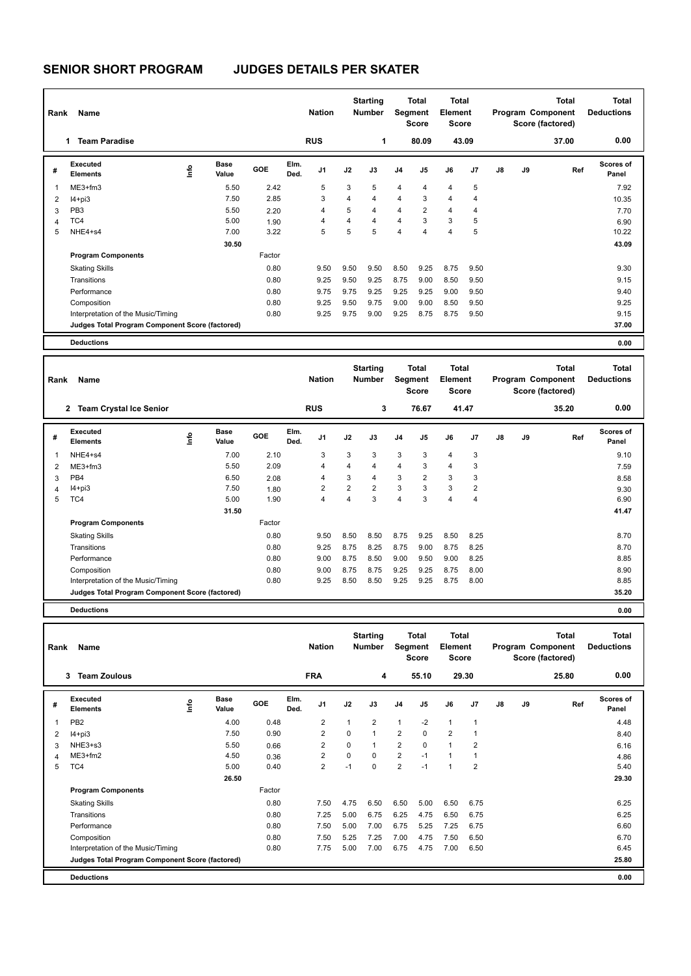## **SENIOR SHORT PROGRAM JUDGES DETAILS PER SKATER**

| Rank                    | Name                                            |    |                      |        |              | <b>Nation</b>  |      | <b>Starting</b><br><b>Number</b> |                | <b>Total</b><br>Segment<br><b>Score</b> | Total<br><b>Element</b><br><b>Score</b> |       |    |    | Total<br>Program Component<br>Score (factored) | <b>Total</b><br><b>Deductions</b> |
|-------------------------|-------------------------------------------------|----|----------------------|--------|--------------|----------------|------|----------------------------------|----------------|-----------------------------------------|-----------------------------------------|-------|----|----|------------------------------------------------|-----------------------------------|
|                         | <b>Team Paradise</b><br>1                       |    |                      |        |              | <b>RUS</b>     |      | 1                                |                | 80.09                                   |                                         | 43.09 |    |    | 37.00                                          | 0.00                              |
| #                       | Executed<br><b>Elements</b>                     | ۴ů | <b>Base</b><br>Value | GOE    | Elm.<br>Ded. | J <sub>1</sub> | J2   | J3                               | J <sub>4</sub> | J5                                      | J6                                      | J7    | J8 | J9 | Ref                                            | <b>Scores of</b><br>Panel         |
| $\overline{\mathbf{1}}$ | $ME3+fm3$                                       |    | 5.50                 | 2.42   |              | 5              | 3    | 5                                | 4              | $\overline{4}$                          | 4                                       | 5     |    |    |                                                | 7.92                              |
| 2                       | $I4 + pi3$                                      |    | 7.50                 | 2.85   |              | 3              | 4    | $\overline{4}$                   | 4              | 3                                       | 4                                       | 4     |    |    |                                                | 10.35                             |
| 3                       | PB <sub>3</sub>                                 |    | 5.50                 | 2.20   |              | 4              | 5    | $\overline{4}$                   | $\overline{4}$ | $\overline{2}$                          | 4                                       | 4     |    |    |                                                | 7.70                              |
| 4                       | TC4                                             |    | 5.00                 | 1.90   |              | 4              | 4    | $\overline{4}$                   | $\overline{4}$ | 3                                       | 3                                       | 5     |    |    |                                                | 6.90                              |
| 5                       | NHE4+s4                                         |    | 7.00                 | 3.22   |              | 5              | 5    | 5                                | $\overline{4}$ | $\overline{4}$                          | 4                                       | 5     |    |    |                                                | 10.22                             |
|                         |                                                 |    | 30.50                |        |              |                |      |                                  |                |                                         |                                         |       |    |    |                                                | 43.09                             |
|                         | <b>Program Components</b>                       |    |                      | Factor |              |                |      |                                  |                |                                         |                                         |       |    |    |                                                |                                   |
|                         | <b>Skating Skills</b>                           |    |                      | 0.80   |              | 9.50           | 9.50 | 9.50                             | 8.50           | 9.25                                    | 8.75                                    | 9.50  |    |    |                                                | 9.30                              |
|                         | Transitions                                     |    |                      | 0.80   |              | 9.25           | 9.50 | 9.25                             | 8.75           | 9.00                                    | 8.50                                    | 9.50  |    |    |                                                | 9.15                              |
|                         | Performance                                     |    |                      | 0.80   |              | 9.75           | 9.75 | 9.25                             | 9.25           | 9.25                                    | 9.00                                    | 9.50  |    |    |                                                | 9.40                              |
|                         | Composition                                     |    |                      | 0.80   |              | 9.25           | 9.50 | 9.75                             | 9.00           | 9.00                                    | 8.50                                    | 9.50  |    |    |                                                | 9.25                              |
|                         | Interpretation of the Music/Timing              |    |                      | 0.80   |              | 9.25           | 9.75 | 9.00                             | 9.25           | 8.75                                    | 8.75                                    | 9.50  |    |    |                                                | 9.15                              |
|                         | Judges Total Program Component Score (factored) |    |                      |        |              |                |      |                                  |                |                                         |                                         |       |    |    |                                                | 37.00                             |
|                         | <b>Deductions</b>                               |    |                      |        |              |                |      |                                  |                |                                         |                                         |       |    |    |                                                | 0.00                              |

| Rank | Name                                            |      |                      |            |              | <b>Nation</b>  |                | <b>Starting</b><br><b>Number</b> |                | <b>Total</b><br>Segment<br><b>Score</b> | <b>Total</b><br>Element<br>Score |                |    |    | <b>Total</b><br>Program Component<br>Score (factored) | Total<br><b>Deductions</b> |
|------|-------------------------------------------------|------|----------------------|------------|--------------|----------------|----------------|----------------------------------|----------------|-----------------------------------------|----------------------------------|----------------|----|----|-------------------------------------------------------|----------------------------|
|      | <b>Team Crystal Ice Senior</b><br>$\mathbf{2}$  |      |                      |            |              | <b>RUS</b>     |                | 3                                |                | 76.67                                   |                                  | 41.47          |    |    | 35.20                                                 | 0.00                       |
| #    | <b>Executed</b><br><b>Elements</b>              | ١nf٥ | <b>Base</b><br>Value | <b>GOE</b> | Elm.<br>Ded. | J <sub>1</sub> | J2             | J3                               | J <sub>4</sub> | J5                                      | J6                               | J <sub>7</sub> | J8 | J9 | Ref                                                   | <b>Scores of</b><br>Panel  |
|      | NHE4+s4                                         |      | 7.00                 | 2.10       |              | 3              | 3              | 3                                | $\mathbf{3}$   | 3                                       | 4                                | 3              |    |    |                                                       | 9.10                       |
| 2    | $ME3+fm3$                                       |      | 5.50                 | 2.09       |              | 4              | $\overline{4}$ | 4                                | $\overline{4}$ | 3                                       | 4                                | 3              |    |    |                                                       | 7.59                       |
| 3    | PB <sub>4</sub>                                 |      | 6.50                 | 2.08       |              | 4              | 3              | 4                                | 3              | $\overline{2}$                          | 3                                | 3              |    |    |                                                       | 8.58                       |
| 4    | $I4 + pi3$                                      |      | 7.50                 | 1.80       |              | 2              | $\overline{2}$ | $\overline{2}$                   | $\mathbf{3}$   | 3                                       | 3                                | $\overline{2}$ |    |    |                                                       | 9.30                       |
| 5    | TC4                                             |      | 5.00                 | 1.90       |              | 4              | $\overline{4}$ | 3                                | $\overline{4}$ | 3                                       | 4                                | 4              |    |    |                                                       | 6.90                       |
|      |                                                 |      | 31.50                |            |              |                |                |                                  |                |                                         |                                  |                |    |    |                                                       | 41.47                      |
|      | <b>Program Components</b>                       |      |                      | Factor     |              |                |                |                                  |                |                                         |                                  |                |    |    |                                                       |                            |
|      | <b>Skating Skills</b>                           |      |                      | 0.80       |              | 9.50           | 8.50           | 8.50                             | 8.75           | 9.25                                    | 8.50                             | 8.25           |    |    |                                                       | 8.70                       |
|      | Transitions                                     |      |                      | 0.80       |              | 9.25           | 8.75           | 8.25                             | 8.75           | 9.00                                    | 8.75                             | 8.25           |    |    |                                                       | 8.70                       |
|      | Performance                                     |      |                      | 0.80       |              | 9.00           | 8.75           | 8.50                             | 9.00           | 9.50                                    | 9.00                             | 8.25           |    |    |                                                       | 8.85                       |
|      | Composition                                     |      |                      | 0.80       |              | 9.00           | 8.75           | 8.75                             | 9.25           | 9.25                                    | 8.75                             | 8.00           |    |    |                                                       | 8.90                       |
|      | Interpretation of the Music/Timing              |      |                      | 0.80       |              | 9.25           | 8.50           | 8.50                             | 9.25           | 9.25                                    | 8.75                             | 8.00           |    |    |                                                       | 8.85                       |
|      | Judges Total Program Component Score (factored) |      |                      |            |              |                |                |                                  |                |                                         |                                  |                |    |    |                                                       | 35.20                      |
|      | <b>Deductions</b>                               |      |                      |            |              |                |                |                                  |                |                                         |                                  |                |    |    |                                                       | 0.00                       |

| Rank | Name                                            |      |                      |        |              | <b>Nation</b>  |              | <b>Starting</b><br><b>Number</b> |                | <b>Total</b><br>Segment<br>Score | Total<br>Element<br><b>Score</b> |                |    |    | <b>Total</b><br>Program Component<br>Score (factored) | <b>Total</b><br><b>Deductions</b> |
|------|-------------------------------------------------|------|----------------------|--------|--------------|----------------|--------------|----------------------------------|----------------|----------------------------------|----------------------------------|----------------|----|----|-------------------------------------------------------|-----------------------------------|
|      | <b>Team Zoulous</b><br>3                        |      |                      |        |              | <b>FRA</b>     |              | 4                                |                | 55.10                            |                                  | 29.30          |    |    | 25.80                                                 | 0.00                              |
| #    | Executed<br><b>Elements</b>                     | ١nf٥ | <b>Base</b><br>Value | GOE    | Elm.<br>Ded. | J <sub>1</sub> | J2           | J3                               | J <sub>4</sub> | J5                               | J6                               | J <sub>7</sub> | J8 | J9 | Ref                                                   | <b>Scores of</b><br>Panel         |
| 1    | PB <sub>2</sub>                                 |      | 4.00                 | 0.48   |              | $\overline{2}$ | $\mathbf{1}$ | $\overline{2}$                   | $\mathbf{1}$   | $-2$                             | 1                                | -1             |    |    |                                                       | 4.48                              |
| 2    | $I4 + pi3$                                      |      | 7.50                 | 0.90   |              | 2              | $\Omega$     | $\overline{1}$                   | $\overline{2}$ | $\Omega$                         | $\overline{2}$                   |                |    |    |                                                       | 8.40                              |
| 3    | NHE3+s3                                         |      | 5.50                 | 0.66   |              | 2              | 0            | 1                                | $\overline{2}$ | 0                                | 1                                | 2              |    |    |                                                       | 6.16                              |
| 4    | $ME3+fm2$                                       |      | 4.50                 | 0.36   |              | 2              | 0            | $\Omega$                         | $\overline{2}$ | $-1$                             |                                  |                |    |    |                                                       | 4.86                              |
| 5    | TC4                                             |      | 5.00                 | 0.40   |              | 2              | $-1$         | $\mathbf 0$                      | $\overline{2}$ | $-1$                             | 1                                | $\overline{2}$ |    |    |                                                       | 5.40                              |
|      |                                                 |      | 26.50                |        |              |                |              |                                  |                |                                  |                                  |                |    |    |                                                       | 29.30                             |
|      | <b>Program Components</b>                       |      |                      | Factor |              |                |              |                                  |                |                                  |                                  |                |    |    |                                                       |                                   |
|      | <b>Skating Skills</b>                           |      |                      | 0.80   |              | 7.50           | 4.75         | 6.50                             | 6.50           | 5.00                             | 6.50                             | 6.75           |    |    |                                                       | 6.25                              |
|      | Transitions                                     |      |                      | 0.80   |              | 7.25           | 5.00         | 6.75                             | 6.25           | 4.75                             | 6.50                             | 6.75           |    |    |                                                       | 6.25                              |
|      | Performance                                     |      |                      | 0.80   |              | 7.50           | 5.00         | 7.00                             | 6.75           | 5.25                             | 7.25                             | 6.75           |    |    |                                                       | 6.60                              |
|      | Composition                                     |      |                      | 0.80   |              | 7.50           | 5.25         | 7.25                             | 7.00           | 4.75                             | 7.50                             | 6.50           |    |    |                                                       | 6.70                              |
|      | Interpretation of the Music/Timing              |      |                      | 0.80   |              | 7.75           | 5.00         | 7.00                             | 6.75           | 4.75                             | 7.00                             | 6.50           |    |    |                                                       | 6.45                              |
|      | Judges Total Program Component Score (factored) |      |                      |        |              |                |              |                                  |                |                                  |                                  |                |    |    |                                                       | 25.80                             |
|      | <b>Deductions</b>                               |      |                      |        |              |                |              |                                  |                |                                  |                                  |                |    |    |                                                       | 0.00                              |